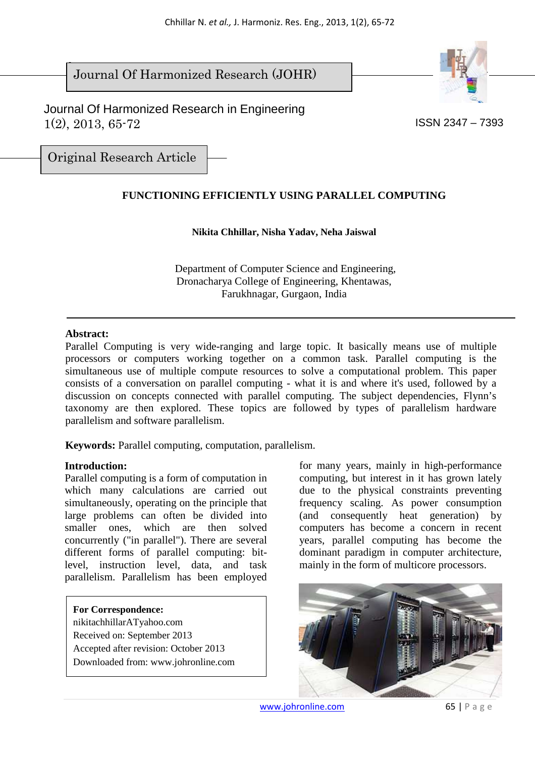$\overline{\phantom{a}}$ Journal Of Harmonized Research (JOHR)





Original Research Article

# **FUNCTIONING EFFICIENTLY USING PARALLEL COMPUTING**

### **Nikita Chhillar, Nisha Yadav, Neha Jaiswal**

 Department of Computer Science and Engineering, Dronacharya College of Engineering, Khentawas, Farukhnagar, Gurgaon, India

#### **Abstract:**

Parallel Computing is very wide-ranging and large topic. It basically means use of multiple processors or computers working together on a common task. Parallel computing is the simultaneous use of multiple compute resources to solve a computational problem. This paper consists of a conversation on parallel computing - what it is and where it's used, followed by a discussion on concepts connected with parallel computing. The subject dependencies, Flynn's taxonomy are then explored. These topics are followed by types of parallelism hardware parallelism and software parallelism.

**Keywords:** Parallel computing, computation, parallelism.

### **Introduction:**

Parallel computing is a form of computation in which many calculations are carried out simultaneously, operating on the principle that large problems can often be divided into smaller ones, which are then solved concurrently ("in parallel"). There are several different forms of parallel computing: bitlevel, instruction level, data, and task parallelism. Parallelism has been employed

#### **For Correspondence:**

nikitachhillarATyahoo.com Received on: September 2013 Accepted after revision: October 2013 Downloaded from: www.johronline.com for many years, mainly in high-performance computing, but interest in it has grown lately due to the physical constraints preventing frequency scaling. As power consumption (and consequently heat generation) by computers has become a concern in recent years, parallel computing has become the dominant paradigm in computer architecture, mainly in the form of multicore processors.

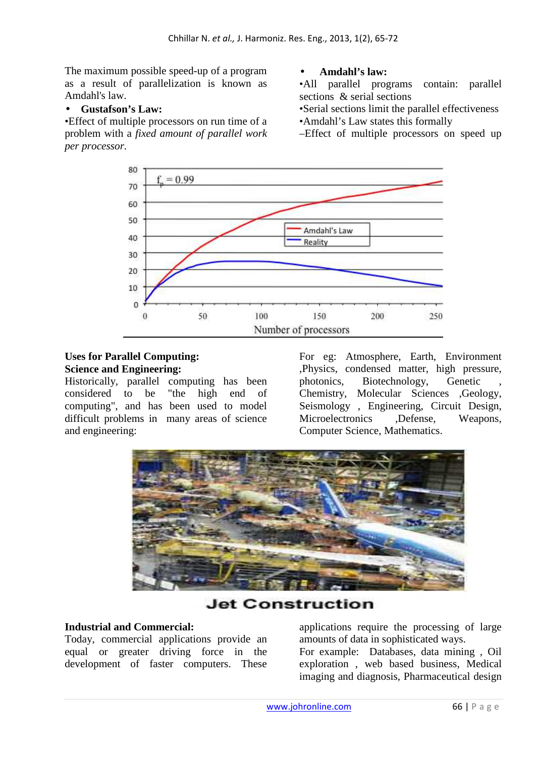The maximum possible speed-up of a program as a result of parallelization is known as Amdahl's law.

### • **Gustafson's Law:**

•Effect of multiple processors on run time of a problem with a *fixed amount of parallel work per processor.* 

### • **Amdahl's law:**

•All parallel programs contain: parallel sections & serial sections

•Serial sections limit the parallel effectiveness •Amdahl's Law states this formally

–Effect of multiple processors on speed up



#### **Uses for Parallel Computing: Science and Engineering:**

Historically, parallel computing has been considered to be "the high end of computing", and has been used to model difficult problems in many areas of science and engineering:

For eg: Atmosphere, Earth, Environment ,Physics, condensed matter, high pressure, photonics, Biotechnology, Genetic Chemistry, Molecular Sciences ,Geology, Seismology , Engineering, Circuit Design, Microelectronics ,Defense, Weapons, Computer Science, Mathematics.



**Jet Construction** 

### **Industrial and Commercial:**

Today, commercial applications provide an equal or greater driving force in the development of faster computers. These

applications require the processing of large amounts of data in sophisticated ways.

For example: Databases, data mining , Oil exploration , web based business, Medical imaging and diagnosis, Pharmaceutical design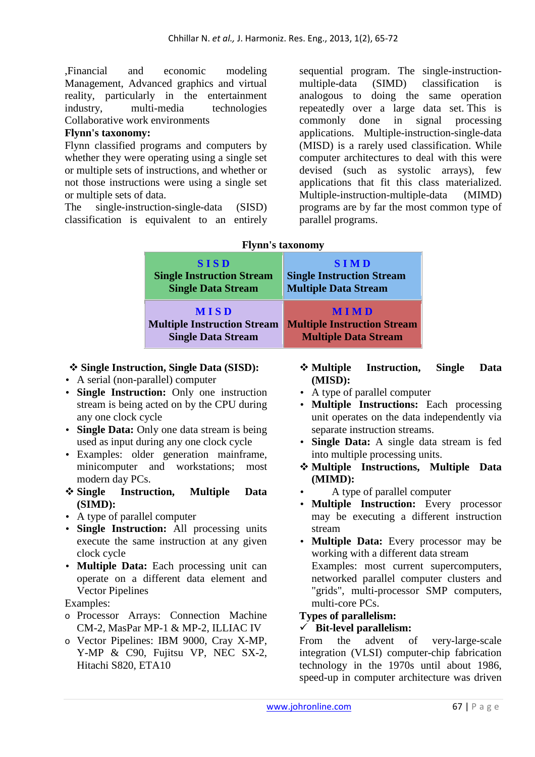,Financial and economic modeling Management, Advanced graphics and virtual reality, particularly in the entertainment industry, multi-media technologies Collaborative work environments

### **Flynn's taxonomy:**

Flynn classified programs and computers by whether they were operating using a single set or multiple sets of instructions, and whether or not those instructions were using a single set or multiple sets of data.

The single-instruction-single-data (SISD) classification is equivalent to an entirely sequential program. The single-instructionmultiple-data (SIMD) classification is analogous to doing the same operation repeatedly over a large data set. This is commonly done in signal processing applications. Multiple-instruction-single-data (MISD) is a rarely used classification. While computer architectures to deal with this were devised (such as systolic arrays), few applications that fit this class materialized. Multiple-instruction-multiple-data (MIMD) programs are by far the most common type of parallel programs.

| $11,111$ $0.0011011$               |                                    |  |  |  |
|------------------------------------|------------------------------------|--|--|--|
| <b>SISD</b>                        | <b>SIMD</b>                        |  |  |  |
| <b>Single Instruction Stream</b>   | <b>Single Instruction Stream</b>   |  |  |  |
| <b>Single Data Stream</b>          | <b>Multiple Data Stream</b>        |  |  |  |
| <b>MISD</b>                        | <b>MIMD</b>                        |  |  |  |
| <b>Multiple Instruction Stream</b> | <b>Multiple Instruction Stream</b> |  |  |  |
| <b>Single Data Stream</b>          | <b>Multiple Data Stream</b>        |  |  |  |

### **Flynn's taxonomy**

### **Single Instruction, Single Data (SISD):**

- A serial (non-parallel) computer
- **Single Instruction:** Only one instruction stream is being acted on by the CPU during any one clock cycle
- **Single Data:** Only one data stream is being used as input during any one clock cycle
- Examples: older generation mainframe, minicomputer and workstations; most modern day PCs.
- **Single Instruction, Multiple Data (SIMD):**
- A type of parallel computer
- **Single Instruction:** All processing units execute the same instruction at any given clock cycle
- **Multiple Data:** Each processing unit can operate on a different data element and Vector Pipelines

Examples:

- o Processor Arrays: Connection Machine CM-2, MasPar MP-1 & MP-2, ILLIAC IV
- o Vector Pipelines: IBM 9000, Cray X-MP, Y-MP & C90, Fujitsu VP, NEC SX-2, Hitachi S820, ETA10
- **Multiple Instruction, Single Data (MISD):**
- A type of parallel computer
- **Multiple Instructions:** Each processing unit operates on the data independently via separate instruction streams.
- **Single Data:** A single data stream is fed into multiple processing units.
- **Multiple Instructions, Multiple Data (MIMD):**
- A type of parallel computer
- **Multiple Instruction:** Every processor may be executing a different instruction stream
- **Multiple Data:** Every processor may be working with a different data stream Examples: most current supercomputers, networked parallel computer clusters and "grids", multi-processor SMP computers, multi-core PCs.

### **Types of parallelism:**

# - **Bit-level parallelism:**

From the advent of very-large-scale integration (VLSI) computer-chip fabrication technology in the 1970s until about 1986, speed-up in computer architecture was driven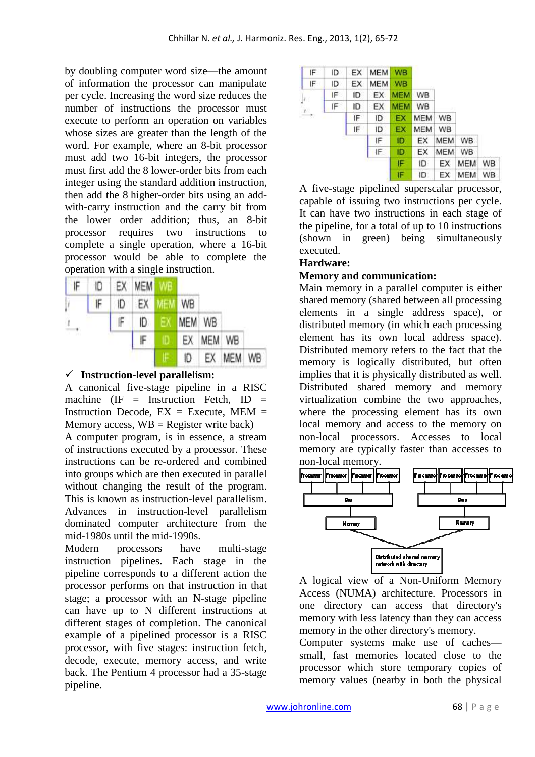by doubling computer word size—the amount of information the processor can manipulate per cycle. Increasing the word size reduces the number of instructions the processor must execute to perform an operation on variables whose sizes are greater than the length of the word. For example, where an 8-bit processor must add two 16-bit integers, the processor must first add the 8 lower-order bits from each integer using the standard addition instruction, then add the 8 higher-order bits using an addwith-carry instruction and the carry bit from the lower order addition; thus, an 8-bit processor requires two instructions to complete a single operation, where a 16-bit processor would be able to complete the operation with a single instruction.

| IF | ID |    | EX MEM WE |               |        |        |     |    |
|----|----|----|-----------|---------------|--------|--------|-----|----|
| γ  | F  | ID | EX        | <b>MEM WB</b> |        |        |     |    |
| ٠. |    | IF | ID.       | $\mathsf{E}$  | MEM WB |        |     |    |
| w  |    |    | IF        | D             | EX     | MEM WB |     |    |
|    |    |    |           |               | ID     | EX.    | MEM | WB |

# - **Instruction-level parallelism:**

A canonical five-stage pipeline in a RISC machine (IF = Instruction Fetch, ID = Instruction Decode,  $EX = Execute$ ,  $MEM =$ Memory access,  $WB = Register$  write back)

A computer program, is in essence, a stream of instructions executed by a processor. These instructions can be re-ordered and combined into groups which are then executed in parallel without changing the result of the program. This is known as instruction-level parallelism. Advances in instruction-level parallelism dominated computer architecture from the mid-1980s until the mid-1990s.

Modern processors have multi-stage instruction pipelines. Each stage in the pipeline corresponds to a different action the processor performs on that instruction in that stage; a processor with an N-stage pipeline can have up to N different instructions at different stages of completion. The canonical example of a pipelined processor is a RISC processor, with five stages: instruction fetch, decode, execute, memory access, and write back. The Pentium 4 processor had a 35-stage pipeline.

| IF.                      | ID  | EX. | <b>MEM</b> | <b>WB</b>  |            |            |           |    |
|--------------------------|-----|-----|------------|------------|------------|------------|-----------|----|
| IF                       | ID  | EX  | <b>MEM</b> | <b>WB</b>  |            |            |           |    |
| $ J_{\perp} $            | IF. | ID  | EX         | <b>MEM</b> | WB         |            |           |    |
|                          | ΙF  | ID  | EХ         | <b>MEM</b> | WB         |            |           |    |
| $\xrightarrow{\text{I}}$ |     | IF  | ID         | EX         | <b>MEM</b> | WB         |           |    |
|                          |     | ۱F  | ID         | EX         | <b>MEM</b> | WB         |           |    |
|                          |     |     | IF         | ID.        | EX         | <b>MEM</b> | WB.       |    |
|                          |     |     | IF.        | ID         | EX         | MEM        | <b>WB</b> |    |
|                          |     |     |            | IF         | ID         | ЕX         | MEM       | WB |
|                          |     |     |            | IF         | ID         | ЕX         | MEM       | WB |

A five-stage pipelined superscalar processor, capable of issuing two instructions per cycle. It can have two instructions in each stage of the pipeline, for a total of up to 10 instructions (shown in green) being simultaneously executed.

# **Hardware:**

### **Memory and communication:**

Main memory in a parallel computer is either shared memory (shared between all processing elements in a single address space), or distributed memory (in which each processing element has its own local address space). Distributed memory refers to the fact that the memory is logically distributed, but often implies that it is physically distributed as well. Distributed shared memory and memory virtualization combine the two approaches, where the processing element has its own local memory and access to the memory on non-local processors. Accesses to local memory are typically faster than accesses to non-local memory.



A logical view of a Non-Uniform Memory Access (NUMA) architecture. Processors in one directory can access that directory's memory with less latency than they can access memory in the other directory's memory.

Computer systems make use of caches small, fast memories located close to the processor which store temporary copies of memory values (nearby in both the physical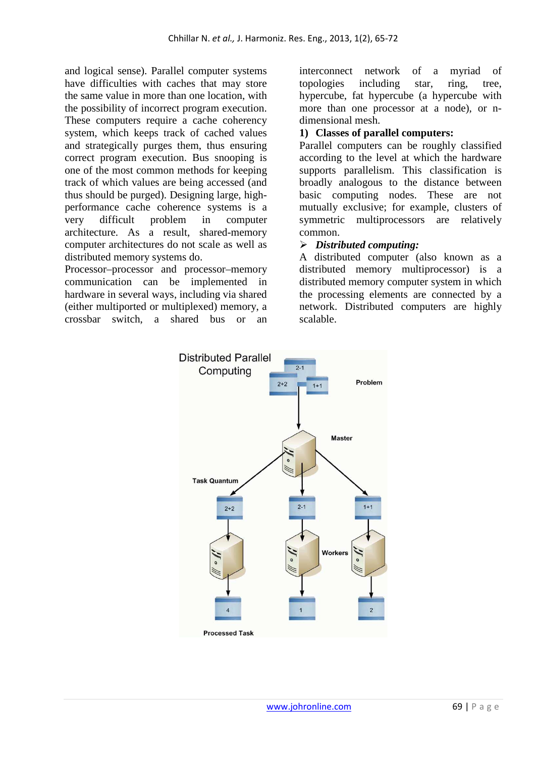and logical sense). Parallel computer systems have difficulties with caches that may store the same value in more than one location, with the possibility of incorrect program execution. These computers require a cache coherency system, which keeps track of cached values and strategically purges them, thus ensuring correct program execution. Bus snooping is one of the most common methods for keeping track of which values are being accessed (and thus should be purged). Designing large, highperformance cache coherence systems is a very difficult problem in computer architecture. As a result, shared-memory computer architectures do not scale as well as distributed memory systems do.

Processor–processor and processor–memory communication can be implemented in hardware in several ways, including via shared (either multiported or multiplexed) memory, a crossbar switch, a shared bus or an

interconnect network of a myriad of topologies including star, ring, tree, hypercube, fat hypercube (a hypercube with more than one processor at a node), or ndimensional mesh.

### **1) Classes of parallel computers:**

Parallel computers can be roughly classified according to the level at which the hardware supports parallelism. This classification is broadly analogous to the distance between basic computing nodes. These are not mutually exclusive; for example, clusters of symmetric multiprocessors are relatively common.

# *Distributed computing:*

A distributed computer (also known as a distributed memory multiprocessor) is a distributed memory computer system in which the processing elements are connected by a network. Distributed computers are highly scalable.

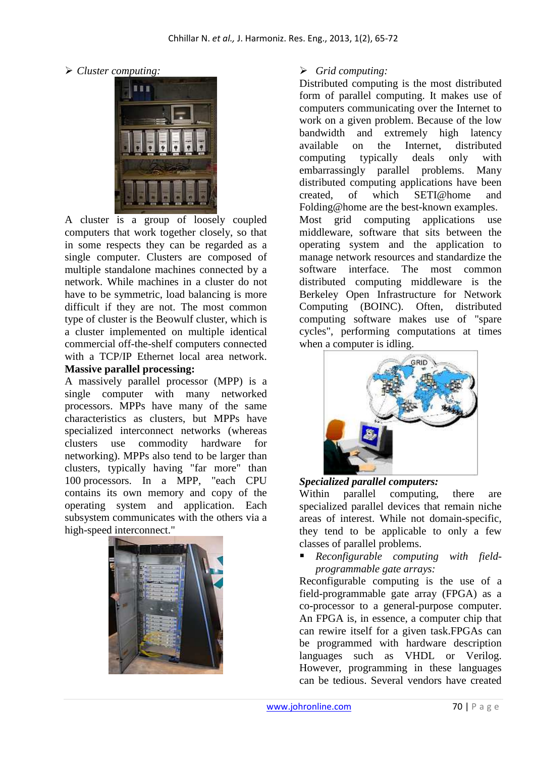*Cluster computing:* 



A cluster is a group of loosely coupled computers that work together closely, so that in some respects they can be regarded as a single computer. Clusters are composed of multiple standalone machines connected by a network. While machines in a cluster do not have to be symmetric, load balancing is more difficult if they are not. The most common type of cluster is the Beowulf cluster, which is a cluster implemented on multiple identical commercial off-the-shelf computers connected with a TCP/IP Ethernet local area network.

#### **Massive parallel processing:**

A massively parallel processor (MPP) is a single computer with many networked processors. MPPs have many of the same characteristics as clusters, but MPPs have specialized interconnect networks (whereas clusters use commodity hardware for networking). MPPs also tend to be larger than clusters, typically having "far more" than 100 processors. In a MPP, "each CPU contains its own memory and copy of the operating system and application. Each subsystem communicates with the others via a high-speed interconnect."



### *Grid computing:*

Distributed computing is the most distributed form of parallel computing. It makes use of computers communicating over the Internet to work on a given problem. Because of the low bandwidth and extremely high latency available on the Internet, distributed computing typically deals only with embarrassingly parallel problems. Many distributed computing applications have been created, of which SETI@home and Folding@home are the best-known examples. Most grid computing applications use middleware, software that sits between the operating system and the application to manage network resources and standardize the software interface. The most common distributed computing middleware is the Berkeley Open Infrastructure for Network Computing (BOINC). Often, distributed computing software makes use of "spare cycles", performing computations at times when a computer is idling.



### *Specialized parallel computers:*

Within parallel computing, there are specialized parallel devices that remain niche areas of interest. While not domain-specific, they tend to be applicable to only a few classes of parallel problems.

 *Reconfigurable computing with fieldprogrammable gate arrays:*

Reconfigurable computing is the use of a field-programmable gate array (FPGA) as a co-processor to a general-purpose computer. An FPGA is, in essence, a computer chip that can rewire itself for a given task.FPGAs can be programmed with hardware description languages such as VHDL or Verilog. However, programming in these languages can be tedious. Several vendors have created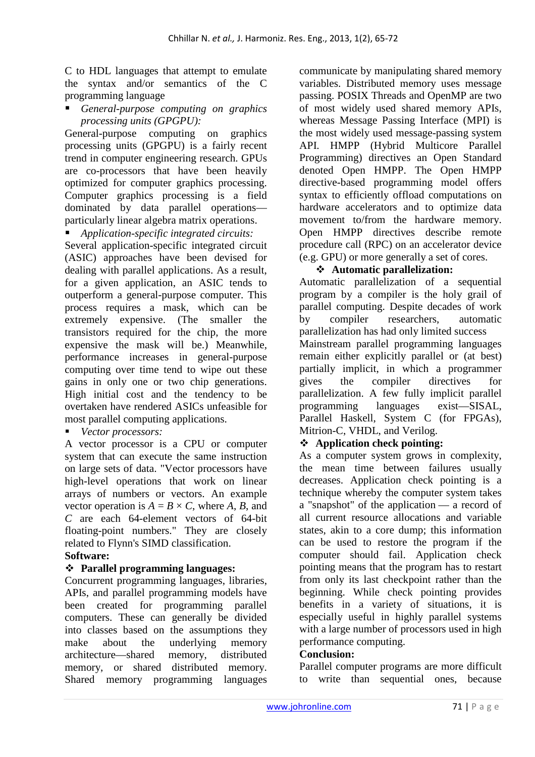C to HDL languages that attempt to emulate the syntax and/or semantics of the C programming language

 *General-purpose computing on graphics processing units (GPGPU):*

General-purpose computing on graphics processing units (GPGPU) is a fairly recent trend in computer engineering research. GPUs are co-processors that have been heavily optimized for computer graphics processing. Computer graphics processing is a field dominated by data parallel operations particularly linear algebra matrix operations.

 *Application-specific integrated circuits:* Several application-specific integrated circuit (ASIC) approaches have been devised for dealing with parallel applications. As a result, for a given application, an ASIC tends to outperform a general-purpose computer. This process requires a mask, which can be extremely expensive. (The smaller the transistors required for the chip, the more expensive the mask will be.) Meanwhile, performance increases in general-purpose computing over time tend to wipe out these gains in only one or two chip generations. High initial cost and the tendency to be overtaken have rendered ASICs unfeasible for most parallel computing applications.

*Vector processors:* 

A vector processor is a CPU or computer system that can execute the same instruction on large sets of data. "Vector processors have high-level operations that work on linear arrays of numbers or vectors. An example vector operation is  $A = B \times C$ , where *A*, *B*, and *C* are each 64-element vectors of 64-bit floating-point numbers." They are closely related to Flynn's SIMD classification.

### **Software:**

# **Parallel programming languages:**

Concurrent programming languages, libraries, APIs, and parallel programming models have been created for programming parallel computers. These can generally be divided into classes based on the assumptions they make about the underlying memory architecture—shared memory, distributed memory, or shared distributed memory. Shared memory programming languages

communicate by manipulating shared memory variables. Distributed memory uses message passing. POSIX Threads and OpenMP are two of most widely used shared memory APIs, whereas Message Passing Interface (MPI) is the most widely used message-passing system API. HMPP (Hybrid Multicore Parallel Programming) directives an Open Standard denoted Open HMPP. The Open HMPP directive-based programming model offers syntax to efficiently offload computations on hardware accelerators and to optimize data movement to/from the hardware memory. Open HMPP directives describe remote procedure call (RPC) on an accelerator device (e.g. GPU) or more generally a set of cores.

### **Automatic parallelization:**

Automatic parallelization of a sequential program by a compiler is the holy grail of parallel computing. Despite decades of work by compiler researchers, automatic parallelization has had only limited success Mainstream parallel programming languages remain either explicitly parallel or (at best) partially implicit, in which a programmer gives the compiler directives for parallelization. A few fully implicit parallel programming languages exist—SISAL, Parallel Haskell, System C (for FPGAs), Mitrion-C, VHDL, and Verilog.

# **Application check pointing:**

As a computer system grows in complexity, the mean time between failures usually decreases. Application check pointing is a technique whereby the computer system takes a "snapshot" of the application — a record of all current resource allocations and variable states, akin to a core dump; this information can be used to restore the program if the computer should fail. Application check pointing means that the program has to restart from only its last checkpoint rather than the beginning. While check pointing provides benefits in a variety of situations, it is especially useful in highly parallel systems with a large number of processors used in high performance computing.

### **Conclusion:**

Parallel computer programs are more difficult to write than sequential ones, because